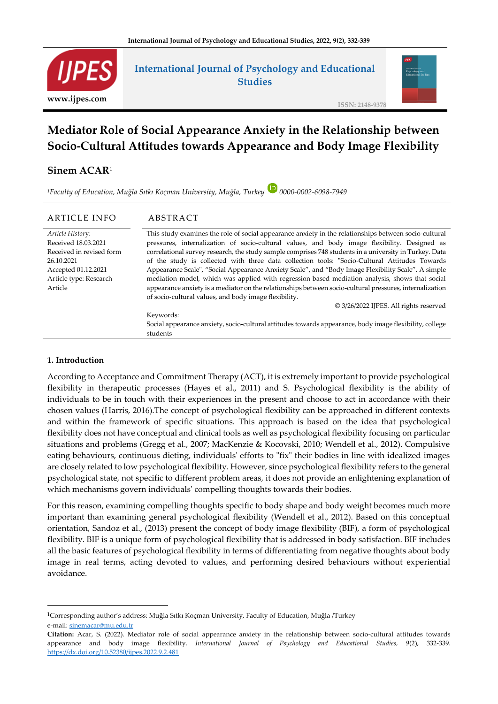

## **International Journal of Psychology and Educational Studies**



**ISSN: 2148-9378**

# **Mediator Role of Social Appearance Anxiety in the Relationship between Socio-Cultural Attitudes towards Appearance and Body Image Flexibility**

### **Sinem ACAR**<sup>1</sup>

*<sup>1</sup>Faculty of Education, Muğla Sıtkı Koçman University, Muğla, Turkey 0000-0002-6098-7949*

#### ARTICLE INFO ABSTRACT

*Article Histor*y: Received 18.03.2021 Received in revised form 26.10.2021 Accepted 01.12.2021 Article type: Research Article

This study examines the role of social appearance anxiety in the relationships between socio-cultural pressures, internalization of socio-cultural values, and body image flexibility. Designed as correlational survey research, the study sample comprises 748 students in a university in Turkey. Data of the study is collected with three data collection tools: "Socio-Cultural Attitudes Towards Appearance Scale", "Social Appearance Anxiety Scale", and "Body Image Flexibility Scale". A simple mediation model, which was applied with regression-based mediation analysis, shows that social appearance anxiety is a mediator on the relationships between socio-cultural pressures, internalization of socio-cultural values, and body image flexibility.

© 3/26/2022 IJPES. All rights reserved

Keywords: Social appearance anxiety, socio-cultural attitudes towards appearance, body image flexibility, college students

#### **1. Introduction**

According to Acceptance and Commitment Therapy (ACT), it is extremely important to provide psychological flexibility in therapeutic processes (Hayes et al., 2011) and S. Psychological flexibility is the ability of individuals to be in touch with their experiences in the present and choose to act in accordance with their chosen values (Harris, 2016).The concept of psychological flexibility can be approached in different contexts and within the framework of specific situations. This approach is based on the idea that psychological flexibility does not have conceptual and clinical tools as well as psychological flexibility focusing on particular situations and problems (Gregg et al., 2007; MacKenzie & Kocovski, 2010; Wendell et al., 2012). Compulsive eating behaviours, continuous dieting, individuals' efforts to "fix" their bodies in line with idealized images are closely related to low psychological flexibility. However, since psychological flexibility refers to the general psychological state, not specific to different problem areas, it does not provide an enlightening explanation of which mechanisms govern individuals' compelling thoughts towards their bodies.

For this reason, examining compelling thoughts specific to body shape and body weight becomes much more important than examining general psychological flexibility (Wendell et al., 2012). Based on this conceptual orientation, Sandoz et al., (2013) present the concept of body image flexibility (BIF), a form of psychological flexibility. BIF is a unique form of psychological flexibility that is addressed in body satisfaction. BIF includes all the basic features of psychological flexibility in terms of differentiating from negative thoughts about body image in real terms, acting devoted to values, and performing desired behaviours without experiential avoidance.

<sup>1</sup>Corresponding author's address: Muğla Sıtkı Koçman University, Faculty of Education, Muğla /Turkey

e-mail: [sinemacar@mu.edu.tr](mailto:sinemacar@mu.edu.tr)

**Citation:** Acar, S. (2022). Mediator role of social appearance anxiety in the relationship between socio-cultural attitudes towards appearance and body image flexibility. *International Journal of Psychology and Educational Studies, 9*(2), 332-339. <https://dx.doi.org/10.52380/ijpes.2022.9.2.481>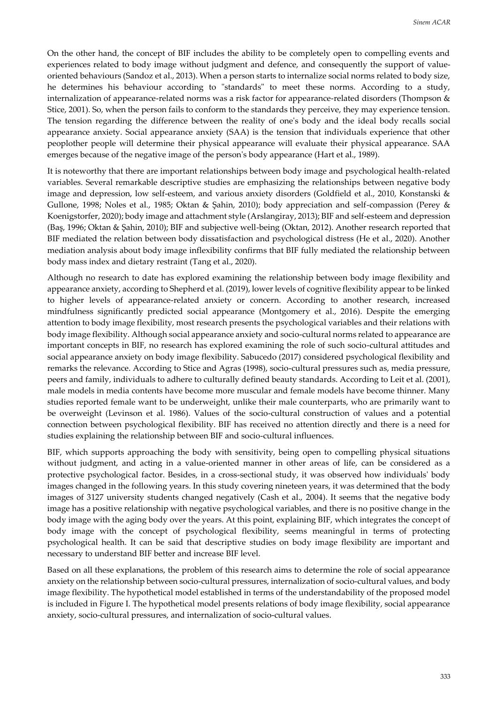On the other hand, the concept of BIF includes the ability to be completely open to compelling events and experiences related to body image without judgment and defence, and consequently the support of valueoriented behaviours (Sandoz et al., 2013). When a person starts to internalize social norms related to body size, he determines his behaviour according to "standards" to meet these norms. According to a study, internalization of appearance-related norms was a risk factor for appearance-related disorders (Thompson & Stice, 2001). So, when the person fails to conform to the standards they perceive, they may experience tension. The tension regarding the difference between the reality of one's body and the ideal body recalls social appearance anxiety. Social appearance anxiety (SAA) is the tension that individuals experience that other peoplother people will determine their physical appearance will evaluate their physical appearance. SAA emerges because of the negative image of the person's body appearance (Hart et al., 1989).

It is noteworthy that there are important relationships between body image and psychological health-related variables. Several remarkable descriptive studies are emphasizing the relationships between negative body image and depression, low self-esteem, and various anxiety disorders (Goldfield et al., 2010, Konstanski & Gullone, 1998; Noles et al., 1985; Oktan & Şahin, 2010); body appreciation and self-compassion (Perey & Koenigstorfer, 2020); body image and attachment style (Arslangiray, 2013); BIF and self-esteem and depression (Baş, 1996; Oktan & Şahin, 2010); BIF and subjective well-being (Oktan, 2012). Another research reported that BIF mediated the relation between body dissatisfaction and psychological distress (He et al., 2020). Another mediation analysis about body image inflexibility confirms that BIF fully mediated the relationship between body mass index and dietary restraint (Tang et al., 2020).

Although no research to date has explored examining the relationship between body image flexibility and appearance anxiety, according to Shepherd et al. (2019), lower levels of cognitive flexibility appear to be linked to higher levels of appearance-related anxiety or concern. According to another research, increased mindfulness significantly predicted social appearance (Montgomery et al., 2016). Despite the emerging attention to body image flexibility, most research presents the psychological variables and their relations with body image flexibility. Although social appearance anxiety and socio-cultural norms related to appearance are important concepts in BIF, no research has explored examining the role of such socio-cultural attitudes and social appearance anxiety on body image flexibility. Sabucedo (2017) considered psychological flexibility and remarks the relevance. According to Stice and Agras (1998), socio-cultural pressures such as, media pressure, peers and family, individuals to adhere to culturally defined beauty standards. According to Leit et al. (2001), male models in media contents have become more muscular and female models have become thinner. Many studies reported female want to be underweight, unlike their male counterparts, who are primarily want to be overweight (Levinson et al. 1986). Values of the socio-cultural construction of values and a potential connection between psychological flexibility. BIF has received no attention directly and there is a need for studies explaining the relationship between BIF and socio-cultural influences.

BIF, which supports approaching the body with sensitivity, being open to compelling physical situations without judgment, and acting in a value-oriented manner in other areas of life, can be considered as a protective psychological factor. Besides, in a cross-sectional study, it was observed how individuals' body images changed in the following years. In this study covering nineteen years, it was determined that the body images of 3127 university students changed negatively (Cash et al., 2004). It seems that the negative body image has a positive relationship with negative psychological variables, and there is no positive change in the body image with the aging body over the years. At this point, explaining BIF, which integrates the concept of body image with the concept of psychological flexibility, seems meaningful in terms of protecting psychological health. It can be said that descriptive studies on body image flexibility are important and necessary to understand BIF better and increase BIF level.

Based on all these explanations, the problem of this research aims to determine the role of social appearance anxiety on the relationship between socio-cultural pressures, internalization of socio-cultural values, and body image flexibility. The hypothetical model established in terms of the understandability of the proposed model is included in Figure I. The hypothetical model presents relations of body image flexibility, social appearance anxiety, socio-cultural pressures, and internalization of socio-cultural values.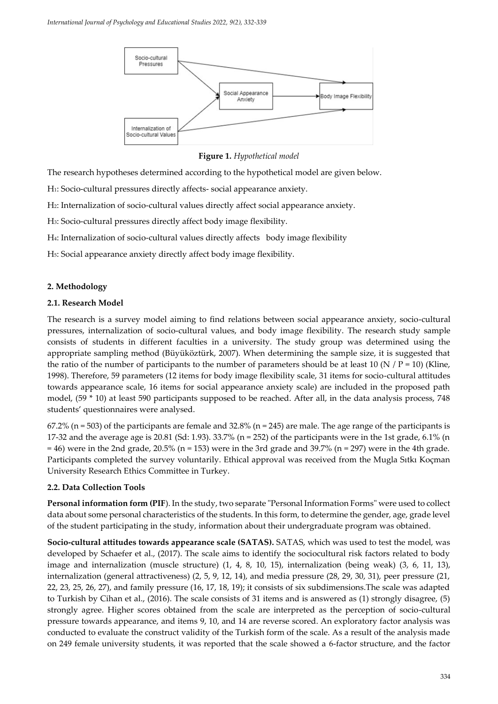

**Figure 1.** *Hypothetical model*

The research hypotheses determined according to the hypothetical model are given below.

H1: Socio-cultural pressures directly affects- social appearance anxiety.

H2: Internalization of socio-cultural values directly affect social appearance anxiety.

H3: Socio-cultural pressures directly affect body image flexibility.

H4: Internalization of socio-cultural values directly affects body image flexibility

H5: Social appearance anxiety directly affect body image flexibility.

#### **2. Methodology**

#### **2.1. Research Model**

The research is a survey model aiming to find relations between social appearance anxiety, socio-cultural pressures, internalization of socio-cultural values, and body image flexibility. The research study sample consists of students in different faculties in a university. The study group was determined using the appropriate sampling method (Büyüköztürk, 2007). When determining the sample size, it is suggested that the ratio of the number of participants to the number of parameters should be at least 10 (N / P = 10) (Kline, 1998). Therefore, 59 parameters (12 items for body image flexibility scale, 31 items for socio-cultural attitudes towards appearance scale, 16 items for social appearance anxiety scale) are included in the proposed path model, (59 \* 10) at least 590 participants supposed to be reached. After all, in the data analysis process, 748 students' questionnaires were analysed.

 $67.2\%$  (n = 503) of the participants are female and 32.8% (n = 245) are male. The age range of the participants is 17-32 and the average age is 20.81 (Sd: 1.93). 33.7% (n = 252) of the participants were in the 1st grade, 6.1% (n  $= 46$ ) were in the 2nd grade, 20.5% (n = 153) were in the 3rd grade and 39.7% (n = 297) were in the 4th grade. Participants completed the survey voluntarily. Ethical approval was received from the Mugla Sıtkı Koçman University Research Ethics Committee in Turkey.

#### **2.2. Data Collection Tools**

**Personal information form (PIF**). In the study, two separate "Personal Information Forms" were used to collect data about some personal characteristics of the students. In this form, to determine the gender, age, grade level of the student participating in the study, information about their undergraduate program was obtained.

**Socio-cultural attitudes towards appearance scale (SATAS).** SATAS, which was used to test the model, was developed by Schaefer et al., (2017). The scale aims to identify the sociocultural risk factors related to body image and internalization (muscle structure) (1, 4, 8, 10, 15), internalization (being weak) (3, 6, 11, 13), internalization (general attractiveness) (2, 5, 9, 12, 14), and media pressure (28, 29, 30, 31), peer pressure (21, 22, 23, 25, 26, 27), and family pressure (16, 17, 18, 19); it consists of six subdimensions.The scale was adapted to Turkish by Cihan et al., (2016). The scale consists of 31 items and is answered as (1) strongly disagree, (5) strongly agree. Higher scores obtained from the scale are interpreted as the perception of socio-cultural pressure towards appearance, and items 9, 10, and 14 are reverse scored. An exploratory factor analysis was conducted to evaluate the construct validity of the Turkish form of the scale. As a result of the analysis made on 249 female university students, it was reported that the scale showed a 6-factor structure, and the factor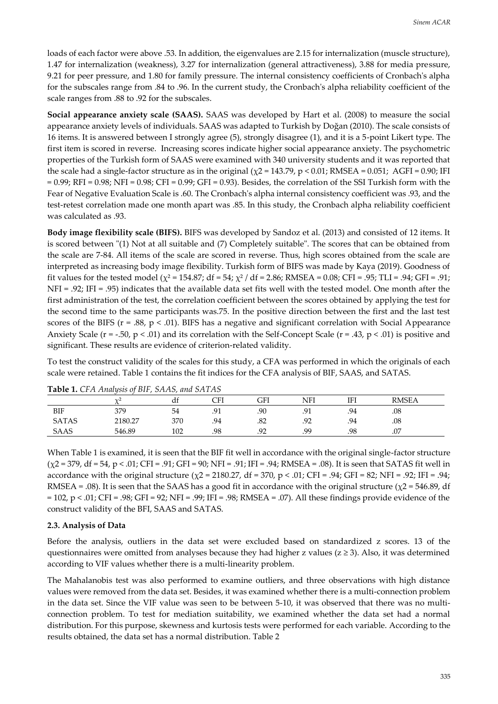loads of each factor were above .53. In addition, the eigenvalues are 2.15 for internalization (muscle structure), 1.47 for internalization (weakness), 3.27 for internalization (general attractiveness), 3.88 for media pressure, 9.21 for peer pressure, and 1.80 for family pressure. The internal consistency coefficients of Cronbach's alpha for the subscales range from .84 to .96. In the current study, the Cronbach's alpha reliability coefficient of the scale ranges from .88 to .92 for the subscales.

**Social appearance anxiety scale (SAAS).** SAAS was developed by Hart et al. (2008) to measure the social appearance anxiety levels of individuals. SAAS was adapted to Turkish by Doğan (2010). The scale consists of 16 items. It is answered between I strongly agree (5), strongly disagree (1), and it is a 5-point Likert type. The first item is scored in reverse. Increasing scores indicate higher social appearance anxiety. The psychometric properties of the Turkish form of SAAS were examined with 340 university students and it was reported that the scale had a single-factor structure as in the original ( $\chi$ 2 = 143.79, p < 0.01; RMSEA = 0.051; AGFI = 0.90; IFI  $= 0.99$ ; RFI = 0.98; NFI = 0.98; CFI = 0.99; GFI = 0.93). Besides, the correlation of the SSI Turkish form with the Fear of Negative Evaluation Scale is .60. The Cronbach's alpha internal consistency coefficient was .93, and the test-retest correlation made one month apart was .85. In this study, the Cronbach alpha reliability coefficient was calculated as .93.

**Body image flexibility scale (BIFS).** BIFS was developed by Sandoz et al. (2013) and consisted of 12 items. It is scored between "(1) Not at all suitable and (7) Completely suitable". The scores that can be obtained from the scale are 7-84. All items of the scale are scored in reverse. Thus, high scores obtained from the scale are interpreted as increasing body image flexibility. Turkish form of BIFS was made by Kaya (2019). Goodness of fit values for the tested model ( $\chi^2$  = 154.87; df = 54;  $\chi^2$  / df = 2.86; RMSEA = 0.08; CFI = .95; TLI = .94; GFI = .91; NFI = .92; IFI = .95) indicates that the available data set fits well with the tested model. One month after the first administration of the test, the correlation coefficient between the scores obtained by applying the test for the second time to the same participants was.75. In the positive direction between the first and the last test scores of the BIFS ( $r = .88$ ,  $p < .01$ ). BIFS has a negative and significant correlation with Social Appearance Anxiety Scale ( $r = -.50$ ,  $p < .01$ ) and its correlation with the Self-Concept Scale ( $r = .43$ ,  $p < .01$ ) is positive and significant. These results are evidence of criterion-related validity.

To test the construct validity of the scales for this study, a CFA was performed in which the originals of each scale were retained. Table 1 contains the fit indices for the CFA analysis of BIF, SAAS, and SATAS.

| <b>Table 1.</b> CLITIMINS 01 DII, 011110, 0110 0111110 |            |     |     |     |     |     |              |  |
|--------------------------------------------------------|------------|-----|-----|-----|-----|-----|--------------|--|
|                                                        | $\sqrt{2}$ | αr  | CFI | GFI | NFI | ΙFΙ | <b>RMSEA</b> |  |
| BIF                                                    | 379        | 54  | .   | .90 |     | .94 | .08          |  |
| <b>SATAS</b>                                           | 2180.27    | 370 | .94 | .82 | Q٥  | .94 | .08          |  |
| SAAS                                                   | 546.89     | 102 | .98 | q٥  | .99 | .98 | .07          |  |

**Table 1.** *CFA Analysis of BIF, SAAS, and SATAS*

When Table 1 is examined, it is seen that the BIF fit well in accordance with the original single-factor structure  $(\chi$ 2 = 379, df = 54, p < .01; CFI = .91; GFI = 90; NFI = .91; IFI = .94; RMSEA = .08). It is seen that SATAS fit well in accordance with the original structure ( $\chi$ 2 = 2180.27, df = 370, p < .01; CFI = .94; GFI = 82; NFI = .92; IFI = .94; RMSEA = .08). It is seen that the SAAS has a good fit in accordance with the original structure ( $\chi$ 2 = 546.89, df = 102, p < .01; CFI = .98; GFI = 92; NFI = .99; IFI = .98; RMSEA = .07). All these findings provide evidence of the construct validity of the BFI, SAAS and SATAS.

#### **2.3. Analysis of Data**

Before the analysis, outliers in the data set were excluded based on standardized z scores. 13 of the questionnaires were omitted from analyses because they had higher z values ( $z \ge 3$ ). Also, it was determined according to VIF values whether there is a multi-linearity problem.

The Mahalanobis test was also performed to examine outliers, and three observations with high distance values were removed from the data set. Besides, it was examined whether there is a multi-connection problem in the data set. Since the VIF value was seen to be between 5-10, it was observed that there was no multiconnection problem. To test for mediation suitability, we examined whether the data set had a normal distribution. For this purpose, skewness and kurtosis tests were performed for each variable. According to the results obtained, the data set has a normal distribution. Table 2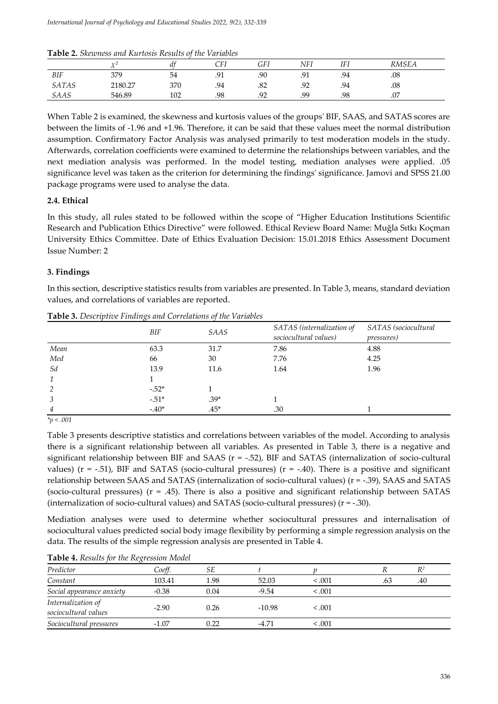**Table 2.** *Skewness and Kurtosis Results of the Variables*

|              | $\frac{1}{2}$ | a+  | CFI | GFI          | <b>NFI</b>                | ITI<br>1F I | RMSEA |
|--------------|---------------|-----|-----|--------------|---------------------------|-------------|-------|
| <b>BIF</b>   | 379           | 54  | .91 | .90          | Q <sub>1</sub><br>.       | .94         | .08   |
| <b>SATAS</b> | 2180.27       | 370 | .94 | .82          | Q <sub>2</sub><br>$\cdot$ | .94         | .08   |
| SAAS         | 546.89        | 102 | .98 | റ<br>$\cdot$ | .99                       | .98         | .07   |

When Table 2 is examined, the skewness and kurtosis values of the groups' BIF, SAAS, and SATAS scores are between the limits of -1.96 and +1.96. Therefore, it can be said that these values meet the normal distribution assumption. Confirmatory Factor Analysis was analysed primarily to test moderation models in the study. Afterwards, correlation coefficients were examined to determine the relationships between variables, and the next mediation analysis was performed. In the model testing, mediation analyses were applied. .05 significance level was taken as the criterion for determining the findings' significance. Jamovi and SPSS 21.00 package programs were used to analyse the data.

#### **2.4. Ethical**

In this study, all rules stated to be followed within the scope of "Higher Education Institutions Scientific Research and Publication Ethics Directive" were followed. Ethical Review Board Name: Muğla Sıtkı Koçman University Ethics Committee. Date of Ethics Evaluation Decision: 15.01.2018 Ethics Assessment Document Issue Number: 2

#### **3. Findings**

In this section, descriptive statistics results from variables are presented. In Table 3, means, standard deviation values, and correlations of variables are reported.

|                | $\cdots$<br>BIF | SAAS   | SATAS (internalization of<br>sociocultural values) | SATAS (sociocultural<br><i>pressures</i> ) |
|----------------|-----------------|--------|----------------------------------------------------|--------------------------------------------|
| Mean           | 63.3            | 31.7   | 7.86                                               | 4.88                                       |
| Med            | 66              | 30     | 7.76                                               | 4.25                                       |
| Sd             | 13.9            | 11.6   | 1.64                                               | 1.96                                       |
| 1              |                 |        |                                                    |                                            |
| 2              | $-.52*$         |        |                                                    |                                            |
| 3              | $-.51*$         | $.39*$ |                                                    |                                            |
| $\overline{4}$ | $-.40*$         | $.45*$ | .30                                                |                                            |

**Table 3.** *Descriptive Findings and Correlations of the Variables*

*\*p < .001*

Table 3 presents descriptive statistics and correlations between variables of the model. According to analysis there is a significant relationship between all variables. As presented in Table 3, there is a negative and significant relationship between BIF and SAAS ( $r = -0.52$ ), BIF and SATAS (internalization of socio-cultural values) ( $r = -0.51$ ), BIF and SATAS (socio-cultural pressures) ( $r = -0.40$ ). There is a positive and significant relationship between SAAS and SATAS (internalization of socio-cultural values) (r = -.39), SAAS and SATAS (socio-cultural pressures) ( $r = .45$ ). There is also a positive and significant relationship between SATAS (internalization of socio-cultural values) and SATAS (socio-cultural pressures) (r = -.30).

Mediation analyses were used to determine whether sociocultural pressures and internalisation of sociocultural values predicted social body image flexibility by performing a simple regression analysis on the data. The results of the simple regression analysis are presented in Table 4.

|  |  |  | <b>Table 4.</b> Results for the Regression Model |
|--|--|--|--------------------------------------------------|
|--|--|--|--------------------------------------------------|

| Predictor                                  | Coeff.  | SЕ   |          |         |     | $R^2$ |  |
|--------------------------------------------|---------|------|----------|---------|-----|-------|--|
| Constant                                   | 103.41  | 1.98 | 52.03    | < 0.001 | .63 | .40   |  |
| Social appearance anxiety                  | $-0.38$ | 0.04 | $-9.54$  | < 0.01  |     |       |  |
| Internalization of<br>sociocultural values | $-2.90$ | 0.26 | $-10.98$ | < 0.01  |     |       |  |
| Sociocultural pressures                    | $-1.07$ | 0.22 | -4.71    | < 0.001 |     |       |  |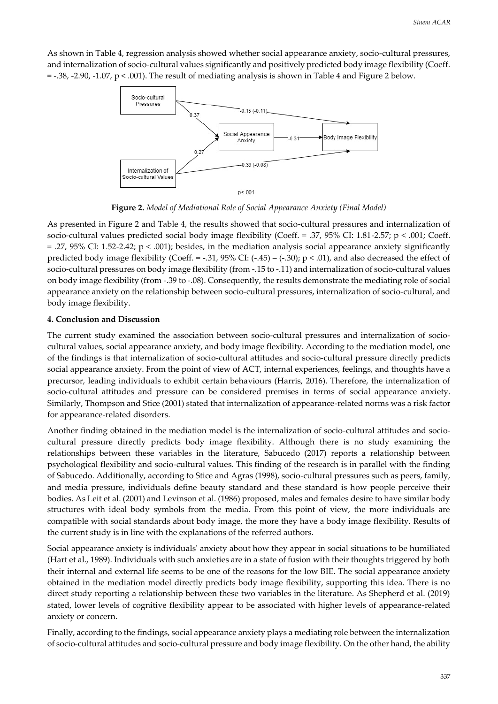As shown in Table 4, regression analysis showed whether social appearance anxiety, socio-cultural pressures, and internalization of socio-cultural values significantly and positively predicted body image flexibility (Coeff.  $=$  -.38, -2.90, -1.07,  $p < .001$ ). The result of mediating analysis is shown in Table 4 and Figure 2 below.



**Figure 2.** *Model of Mediational Role of Social Appearance Anxiety (Final Model)*

As presented in Figure 2 and Table 4, the results showed that socio-cultural pressures and internalization of socio-cultural values predicted social body image flexibility (Coeff. = .37, 95% CI: 1.81-2.57; p < .001; Coeff. = .27, 95% CI: 1.52-2.42; p < .001); besides, in the mediation analysis social appearance anxiety significantly predicted body image flexibility (Coeff. = -.31,  $95\%$  CI: (-.45) – (-.30); p < .01), and also decreased the effect of socio-cultural pressures on body image flexibility (from -.15 to -.11) and internalization of socio-cultural values on body image flexibility (from -.39 to -.08). Consequently, the results demonstrate the mediating role of social appearance anxiety on the relationship between socio-cultural pressures, internalization of socio-cultural, and body image flexibility.

#### **4. Conclusion and Discussion**

The current study examined the association between socio-cultural pressures and internalization of sociocultural values, social appearance anxiety, and body image flexibility. According to the mediation model, one of the findings is that internalization of socio-cultural attitudes and socio-cultural pressure directly predicts social appearance anxiety. From the point of view of ACT, internal experiences, feelings, and thoughts have a precursor, leading individuals to exhibit certain behaviours (Harris, 2016). Therefore, the internalization of socio-cultural attitudes and pressure can be considered premises in terms of social appearance anxiety. Similarly, Thompson and Stice (2001) stated that internalization of appearance-related norms was a risk factor for appearance-related disorders.

Another finding obtained in the mediation model is the internalization of socio-cultural attitudes and sociocultural pressure directly predicts body image flexibility. Although there is no study examining the relationships between these variables in the literature, Sabucedo (2017) reports a relationship between psychological flexibility and socio-cultural values. This finding of the research is in parallel with the finding of Sabucedo. Additionally, according to Stice and Agras (1998), socio-cultural pressures such as peers, family, and media pressure, individuals define beauty standard and these standard is how people perceive their bodies. As Leit et al. (2001) and Levinson et al. (1986) proposed, males and females desire to have similar body structures with ideal body symbols from the media. From this point of view, the more individuals are compatible with social standards about body image, the more they have a body image flexibility. Results of the current study is in line with the explanations of the referred authors.

Social appearance anxiety is individuals' anxiety about how they appear in social situations to be humiliated (Hart et al., 1989). Individuals with such anxieties are in a state of fusion with their thoughts triggered by both their internal and external life seems to be one of the reasons for the low BIE. The social appearance anxiety obtained in the mediation model directly predicts body image flexibility, supporting this idea. There is no direct study reporting a relationship between these two variables in the literature. As Shepherd et al. (2019) stated, lower levels of cognitive flexibility appear to be associated with higher levels of appearance-related anxiety or concern.

Finally, according to the findings, social appearance anxiety plays a mediating role between the internalization of socio-cultural attitudes and socio-cultural pressure and body image flexibility. On the other hand, the ability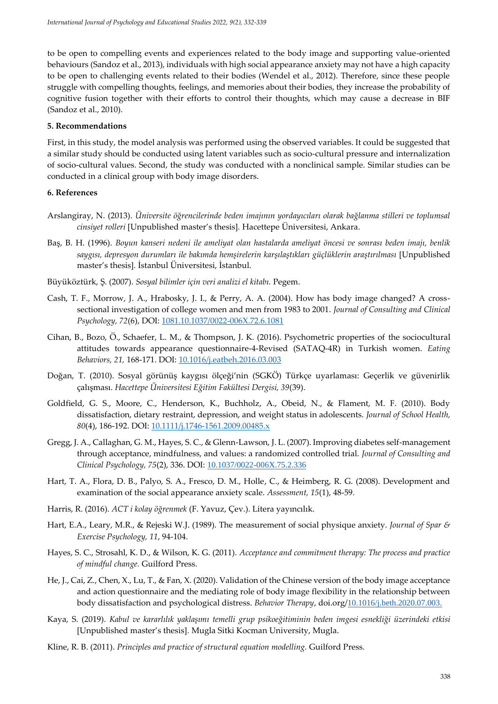to be open to compelling events and experiences related to the body image and supporting value-oriented behaviours (Sandoz et al., 2013), individuals with high social appearance anxiety may not have a high capacity to be open to challenging events related to their bodies (Wendel et al., 2012). Therefore, since these people struggle with compelling thoughts, feelings, and memories about their bodies, they increase the probability of cognitive fusion together with their efforts to control their thoughts, which may cause a decrease in BIF (Sandoz et al., 2010).

#### **5. Recommendations**

First, in this study, the model analysis was performed using the observed variables. It could be suggested that a similar study should be conducted using latent variables such as socio-cultural pressure and internalization of socio-cultural values. Second, the study was conducted with a nonclinical sample. Similar studies can be conducted in a clinical group with body image disorders.

#### **6. References**

- Arslangiray, N. (2013). *Üniversite öğrencilerinde beden imajının yordayıcıları olarak bağlanma stilleri ve toplumsal cinsiyet rolleri* [Unpublished master's thesis]*.* Hacettepe Üniversitesi, Ankara.
- Baş, B. H. (1996). *Boyun kanseri nedeni ile ameliyat olan hastalarda ameliyat öncesi ve sonrası beden imajı, benlik saygısı, depresyon durumları ile bakımda hemşirelerin karşılaştıkları güçlüklerin araştırılması* [Unpublished master's thesis]*.* İstanbul Üniversitesi, İstanbul.
- Büyüköztürk, Ş. (2007). *Sosyal bilimler için veri analizi el kitabı.* Pegem.
- Cash, T. F., Morrow, J. A., Hrabosky, J. I., & Perry, A. A. (2004). How has body image changed? A crosssectional investigation of college women and men from 1983 to 2001. *Journal of Consulting and Clinical Psychology, 72*(6), DOI: 1081.10.1037/0022-006X.72.6.1081
- Cihan, B., Bozo, Ö., Schaefer, L. M., & Thompson, J. K. (2016). Psychometric properties of the sociocultural attitudes towards appearance questionnaire-4-Revised (SATAQ-4R) in Turkish women. *Eating Behaviors, 21,* 168-171. DOI: 10.1016/j.eatbeh.2016.03.003
- Doğan, T. (2010). Sosyal görünüş kaygısı ölçeği'nin (SGKÖ) Türkçe uyarlaması: Geçerlik ve güvenirlik çalışması. *Hacettepe Üniversitesi Eğitim Fakültesi Dergisi, 39*(39).
- Goldfield, G. S., Moore, C., Henderson, K., Buchholz, A., Obeid, N., & Flament, M. F. (2010). Body dissatisfaction, dietary restraint, depression, and weight status in adolescents. *Journal of School Health, 80*(4), 186-192. DOI: 10.1111/j.1746-1561.2009.00485.x
- Gregg, J. A., Callaghan, G. M., Hayes, S. C., & Glenn-Lawson, J. L. (2007). Improving diabetes self-management through acceptance, mindfulness, and values: a randomized controlled trial. *Journal of Consulting and Clinical Psychology, 75*(2), 336. DOI: 10.1037/0022-006X.75.2.336
- Hart, T. A., Flora, D. B., Palyo, S. A., Fresco, D. M., Holle, C., & Heimberg, R. G. (2008). Development and examination of the social appearance anxiety scale. *Assessment, 15*(1), 48-59.
- Harris, R. (2016). *ACT i kolay öğrenmek* (F. Yavuz, Çev.). Litera yayıncılık.
- Hart, E.A., Leary, M.R., & Rejeski W.J. (1989). The measurement of social physique anxiety. *Journal of Spar & Exercise Psychology, 11*, 94-104.
- Hayes, S. C., Strosahl, K. D., & Wilson, K. G. (2011). *Acceptance and commitment therapy: The process and practice of mindful change.* Guilford Press.
- He, J., Cai, Z., Chen, X., Lu, T., & Fan, X. (2020). Validation of the Chinese version of the body image acceptance and action questionnaire and the mediating role of body image flexibility in the relationship between body dissatisfaction and psychological distress. *Behavior Therapy*, doi.org/10.1016/j.beth.2020.07.003.
- Kaya, S. (2019). *Kabul ve kararlılık yaklaşımı temelli grup psikoeğitiminin beden imgesi esnekliği üzerindeki etkisi* [Unpublished master's thesis]*.* Mugla Sitki Kocman University, Mugla.
- Kline, R. B. (2011). *Principles and practice of structural equation modelling.* Guilford Press.